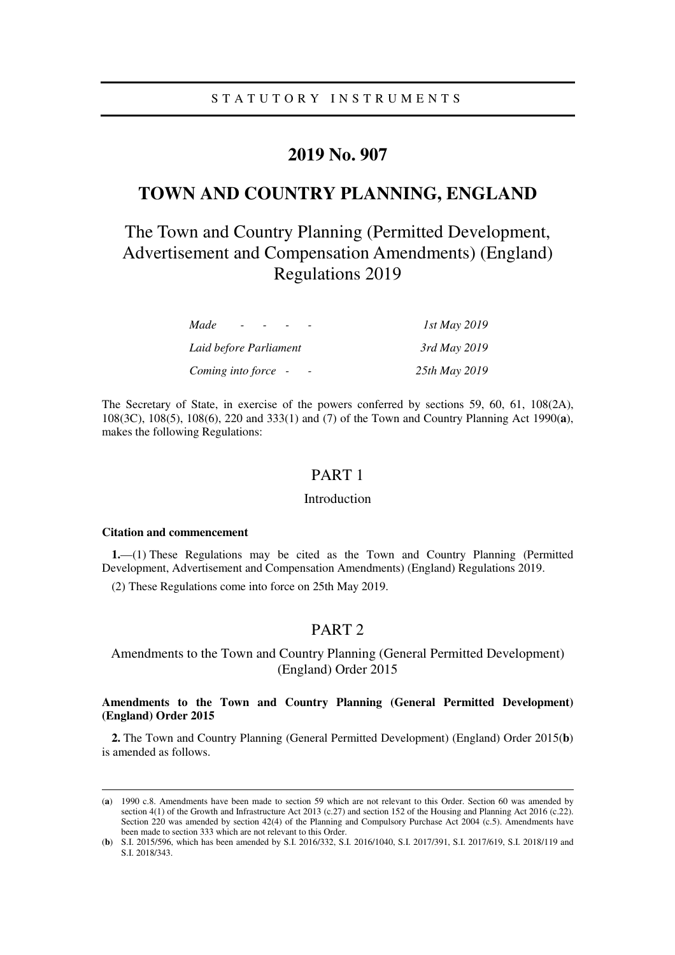# **2019 No. 907**

# **TOWN AND COUNTRY PLANNING, ENGLAND**

# The Town and Country Planning (Permitted Development, Advertisement and Compensation Amendments) (England) Regulations 2019

| Made<br>$\sim$         | 1st May 2019  |
|------------------------|---------------|
| Laid before Parliament | 3rd May 2019  |
| Coming into force -    | 25th May 2019 |

The Secretary of State, in exercise of the powers conferred by sections 59, 60, 61, 108(2A), 108(3C), 108(5), 108(6), 220 and 333(1) and (7) of the Town and Country Planning Act 1990(**a**), makes the following Regulations:

# PART 1

### Introduction

#### **Citation and commencement**

-

**1.**—(1) These Regulations may be cited as the Town and Country Planning (Permitted Development, Advertisement and Compensation Amendments) (England) Regulations 2019.

(2) These Regulations come into force on 25th May 2019.

# PART 2

# Amendments to the Town and Country Planning (General Permitted Development) (England) Order 2015

# **Amendments to the Town and Country Planning (General Permitted Development) (England) Order 2015**

**2.** The Town and Country Planning (General Permitted Development) (England) Order 2015(**b**) is amended as follows.

<sup>(</sup>**a**) 1990 c.8. Amendments have been made to section 59 which are not relevant to this Order. Section 60 was amended by section 4(1) of the Growth and Infrastructure Act 2013 (c.27) and section 152 of the Housing and Planning Act 2016 (c.22). Section 220 was amended by section 42(4) of the Planning and Compulsory Purchase Act 2004 (c.5). Amendments have been made to section 333 which are not relevant to this Order.

<sup>(</sup>**b**) S.I. 2015/596, which has been amended by S.I. 2016/332, S.I. 2016/1040, S.I. 2017/391, S.I. 2017/619, S.I. 2018/119 and S.I. 2018/343.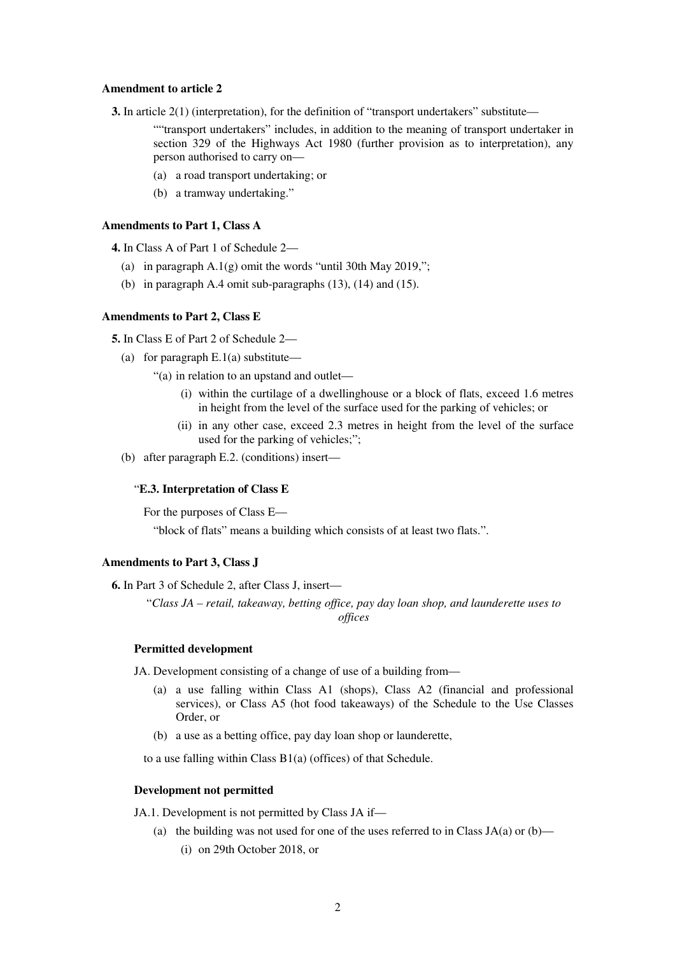#### **Amendment to article 2**

**3.** In article 2(1) (interpretation), for the definition of "transport undertakers" substitute—

""transport undertakers" includes, in addition to the meaning of transport undertaker in section 329 of the Highways Act 1980 (further provision as to interpretation), any person authorised to carry on—

- (a) a road transport undertaking; or
- (b) a tramway undertaking."

#### **Amendments to Part 1, Class A**

**4.** In Class A of Part 1 of Schedule 2—

- (a) in paragraph  $A.1(g)$  omit the words "until 30th May 2019,";
- (b) in paragraph A.4 omit sub-paragraphs (13), (14) and (15).

# **Amendments to Part 2, Class E**

**5.** In Class E of Part 2 of Schedule 2—

- (a) for paragraph  $E(1(a))$  substitute—
	- "(a) in relation to an upstand and outlet—
		- (i) within the curtilage of a dwellinghouse or a block of flats, exceed 1.6 metres in height from the level of the surface used for the parking of vehicles; or
		- (ii) in any other case, exceed 2.3 metres in height from the level of the surface used for the parking of vehicles;";
- (b) after paragraph E.2. (conditions) insert—

## "**E.3. Interpretation of Class E**

For the purposes of Class E—

"block of flats" means a building which consists of at least two flats.".

#### **Amendments to Part 3, Class J**

**6.** In Part 3 of Schedule 2, after Class J, insert—

"*Class JA – retail, takeaway, betting office, pay day loan shop, and launderette uses to offices* 

#### **Permitted development**

JA. Development consisting of a change of use of a building from—

- (a) a use falling within Class A1 (shops), Class A2 (financial and professional services), or Class A5 (hot food takeaways) of the Schedule to the Use Classes Order, or
- (b) a use as a betting office, pay day loan shop or launderette,

to a use falling within Class B1(a) (offices) of that Schedule.

#### **Development not permitted**

JA.1. Development is not permitted by Class JA if—

(a) the building was not used for one of the uses referred to in Class JA(a) or (b)— (i) on 29th October 2018, or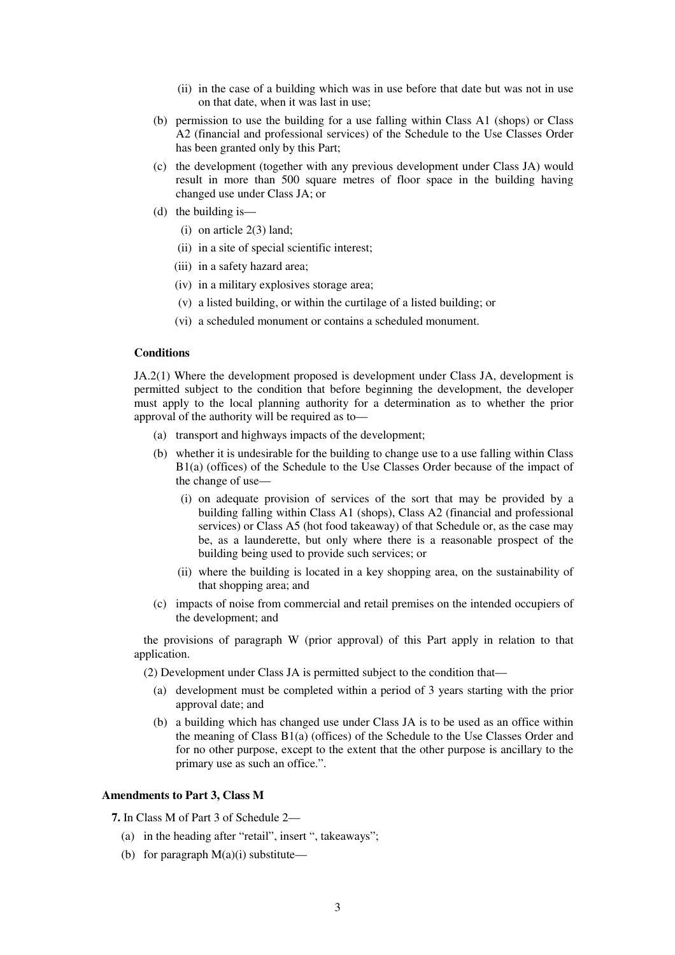- (ii) in the case of a building which was in use before that date but was not in use on that date, when it was last in use;
- (b) permission to use the building for a use falling within Class A1 (shops) or Class A2 (financial and professional services) of the Schedule to the Use Classes Order has been granted only by this Part;
- (c) the development (together with any previous development under Class JA) would result in more than 500 square metres of floor space in the building having changed use under Class JA; or
- (d) the building is—
	- (i) on article 2(3) land;
	- (ii) in a site of special scientific interest;
	- (iii) in a safety hazard area;
	- (iv) in a military explosives storage area;
	- (v) a listed building, or within the curtilage of a listed building; or
	- (vi) a scheduled monument or contains a scheduled monument.

#### **Conditions**

JA.2(1) Where the development proposed is development under Class JA, development is permitted subject to the condition that before beginning the development, the developer must apply to the local planning authority for a determination as to whether the prior approval of the authority will be required as to—

- (a) transport and highways impacts of the development;
- (b) whether it is undesirable for the building to change use to a use falling within Class B1(a) (offices) of the Schedule to the Use Classes Order because of the impact of the change of use—
	- (i) on adequate provision of services of the sort that may be provided by a building falling within Class A1 (shops), Class A2 (financial and professional services) or Class A5 (hot food takeaway) of that Schedule or, as the case may be, as a launderette, but only where there is a reasonable prospect of the building being used to provide such services; or
	- (ii) where the building is located in a key shopping area, on the sustainability of that shopping area; and
- (c) impacts of noise from commercial and retail premises on the intended occupiers of the development; and

the provisions of paragraph W (prior approval) of this Part apply in relation to that application.

(2) Development under Class JA is permitted subject to the condition that—

- (a) development must be completed within a period of 3 years starting with the prior approval date; and
- (b) a building which has changed use under Class JA is to be used as an office within the meaning of Class B1(a) (offices) of the Schedule to the Use Classes Order and for no other purpose, except to the extent that the other purpose is ancillary to the primary use as such an office.".

#### **Amendments to Part 3, Class M**

**7.** In Class M of Part 3 of Schedule 2—

- (a) in the heading after "retail", insert ", takeaways";
- (b) for paragraph  $M(a)(i)$  substitute—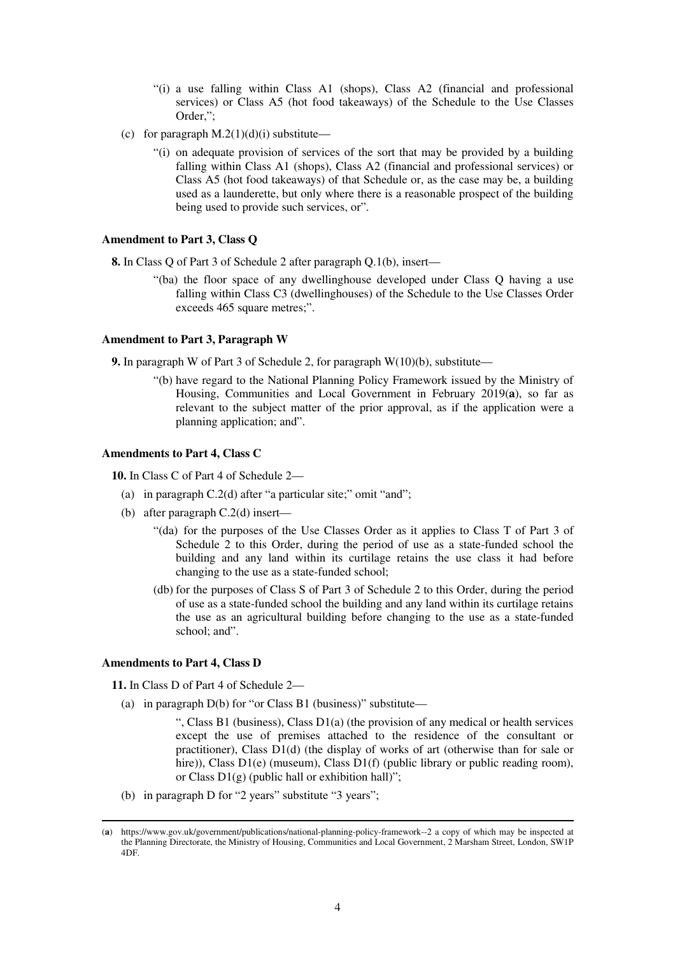- "(i) a use falling within Class A1 (shops), Class A2 (financial and professional services) or Class A5 (hot food takeaways) of the Schedule to the Use Classes Order,";
- (c) for paragraph  $M(2(1)(d)(i))$  substitute—
	- "(i) on adequate provision of services of the sort that may be provided by a building falling within Class A1 (shops), Class A2 (financial and professional services) or Class A5 (hot food takeaways) of that Schedule or, as the case may be, a building used as a launderette, but only where there is a reasonable prospect of the building being used to provide such services, or".

## **Amendment to Part 3, Class Q**

**8.** In Class Q of Part 3 of Schedule 2 after paragraph Q.1(b), insert—

"(ba) the floor space of any dwellinghouse developed under Class Q having a use falling within Class C3 (dwellinghouses) of the Schedule to the Use Classes Order exceeds 465 square metres;".

#### **Amendment to Part 3, Paragraph W**

**9.** In paragraph W of Part 3 of Schedule 2, for paragraph  $W(10)(b)$ , substitute—

"(b) have regard to the National Planning Policy Framework issued by the Ministry of Housing, Communities and Local Government in February 2019(**a**), so far as relevant to the subject matter of the prior approval, as if the application were a planning application; and".

## **Amendments to Part 4, Class C**

**10.** In Class C of Part 4 of Schedule 2—

- (a) in paragraph C.2(d) after "a particular site;" omit "and";
- (b) after paragraph C.2(d) insert—
	- "(da) for the purposes of the Use Classes Order as it applies to Class T of Part 3 of Schedule 2 to this Order, during the period of use as a state-funded school the building and any land within its curtilage retains the use class it had before changing to the use as a state-funded school;
	- (db) for the purposes of Class S of Part 3 of Schedule 2 to this Order, during the period of use as a state-funded school the building and any land within its curtilage retains the use as an agricultural building before changing to the use as a state-funded school; and".

## **Amendments to Part 4, Class D**

-

**11.** In Class D of Part 4 of Schedule 2—

(a) in paragraph  $D(b)$  for "or Class B1 (business)" substitute—

", Class B1 (business), Class D1(a) (the provision of any medical or health services except the use of premises attached to the residence of the consultant or practitioner), Class D1(d) (the display of works of art (otherwise than for sale or hire)), Class D1(e) (museum), Class D1(f) (public library or public reading room), or Class  $D1(g)$  (public hall or exhibition hall)";

(b) in paragraph D for "2 years" substitute "3 years";

<sup>(</sup>**a**) https://www.gov.uk/government/publications/national-planning-policy-framework--2 a copy of which may be inspected at the Planning Directorate, the Ministry of Housing, Communities and Local Government, 2 Marsham Street, London, SW1P 4DF.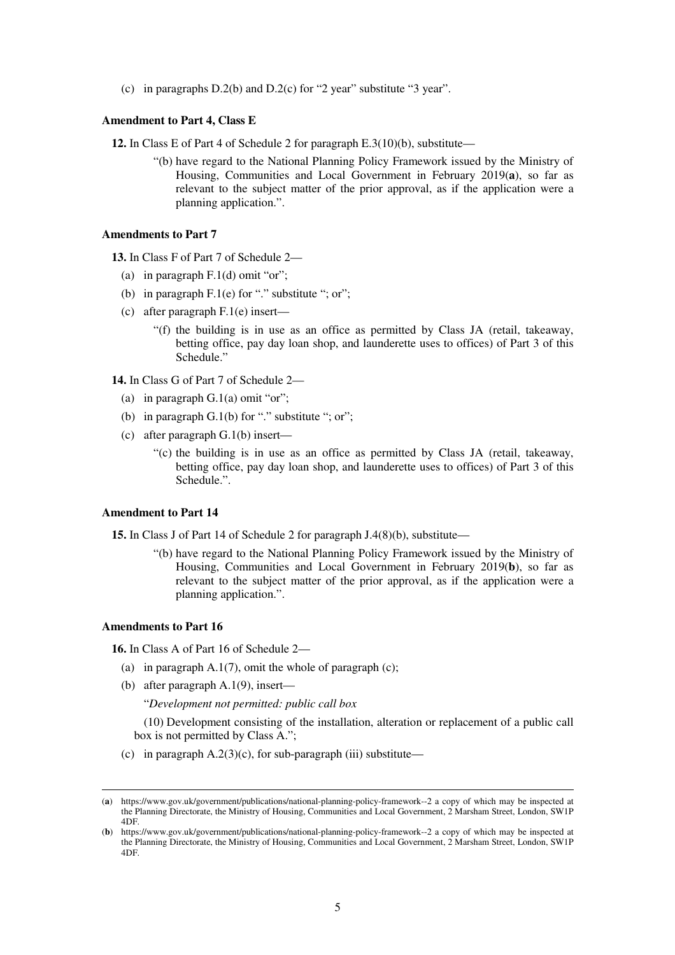(c) in paragraphs D.2(b) and D.2(c) for "2 year" substitute "3 year".

#### **Amendment to Part 4, Class E**

**12.** In Class E of Part 4 of Schedule 2 for paragraph E.3(10)(b), substitute—

"(b) have regard to the National Planning Policy Framework issued by the Ministry of Housing, Communities and Local Government in February 2019(**a**), so far as relevant to the subject matter of the prior approval, as if the application were a planning application.".

## **Amendments to Part 7**

**13.** In Class F of Part 7 of Schedule 2—

- (a) in paragraph  $F(1(d))$  omit "or";
- (b) in paragraph  $F(1(e)$  for "." substitute "; or";
- (c) after paragraph F.1(e) insert—

"(f) the building is in use as an office as permitted by Class JA (retail, takeaway, betting office, pay day loan shop, and launderette uses to offices) of Part 3 of this Schedule."

**14.** In Class G of Part 7 of Schedule 2—

- (a) in paragraph  $G(1(a))$  omit "or";
- (b) in paragraph  $G(1(b))$  for "." substitute "; or";
- (c) after paragraph G.1(b) insert—
	- "(c) the building is in use as an office as permitted by Class JA (retail, takeaway, betting office, pay day loan shop, and launderette uses to offices) of Part 3 of this Schedule.".

#### **Amendment to Part 14**

**15.** In Class J of Part 14 of Schedule 2 for paragraph J.4(8)(b), substitute—

"(b) have regard to the National Planning Policy Framework issued by the Ministry of Housing, Communities and Local Government in February 2019(**b**), so far as relevant to the subject matter of the prior approval, as if the application were a planning application.".

# **Amendments to Part 16**

-

**16.** In Class A of Part 16 of Schedule 2—

- (a) in paragraph  $A.1(7)$ , omit the whole of paragraph (c);
- (b) after paragraph A.1(9), insert—

"*Development not permitted: public call box* 

(10) Development consisting of the installation, alteration or replacement of a public call box is not permitted by Class A.";

(c) in paragraph  $A.2(3)(c)$ , for sub-paragraph (iii) substitute—

<sup>(</sup>**a**) https://www.gov.uk/government/publications/national-planning-policy-framework--2 a copy of which may be inspected at the Planning Directorate, the Ministry of Housing, Communities and Local Government, 2 Marsham Street, London, SW1P 4DF.

<sup>(</sup>**b**) https://www.gov.uk/government/publications/national-planning-policy-framework--2 a copy of which may be inspected at the Planning Directorate, the Ministry of Housing, Communities and Local Government, 2 Marsham Street, London, SW1P 4DF.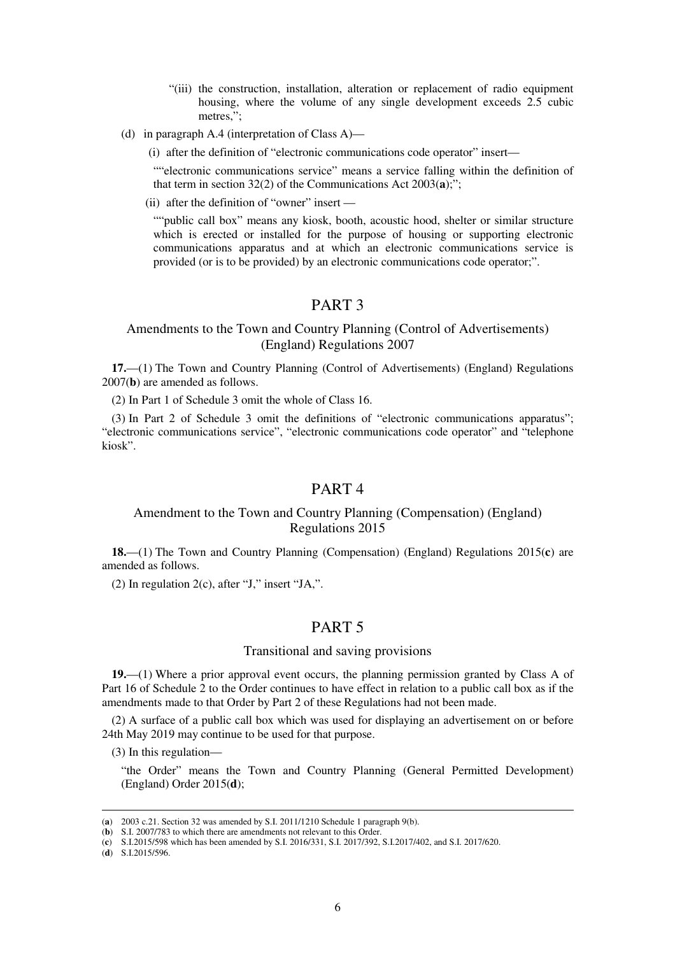- "(iii) the construction, installation, alteration or replacement of radio equipment housing, where the volume of any single development exceeds 2.5 cubic metres,";
- (d) in paragraph A.4 (interpretation of Class A)—
	- (i) after the definition of "electronic communications code operator" insert—

""electronic communications service" means a service falling within the definition of that term in section 32(2) of the Communications Act 2003(**a**);";

(ii) after the definition of "owner" insert —

""public call box" means any kiosk, booth, acoustic hood, shelter or similar structure which is erected or installed for the purpose of housing or supporting electronic communications apparatus and at which an electronic communications service is provided (or is to be provided) by an electronic communications code operator;".

# PART 3

# Amendments to the Town and Country Planning (Control of Advertisements) (England) Regulations 2007

**17.**—(1) The Town and Country Planning (Control of Advertisements) (England) Regulations 2007(**b**) are amended as follows.

(2) In Part 1 of Schedule 3 omit the whole of Class 16.

(3) In Part 2 of Schedule 3 omit the definitions of "electronic communications apparatus"; "electronic communications service", "electronic communications code operator" and "telephone kiosk".

# PART 4

# Amendment to the Town and Country Planning (Compensation) (England) Regulations 2015

**18.**—(1) The Town and Country Planning (Compensation) (England) Regulations 2015(**c**) are amended as follows.

(2) In regulation  $2(c)$ , after "J," insert "JA,".

# PART 5

## Transitional and saving provisions

**19.**—(1) Where a prior approval event occurs, the planning permission granted by Class A of Part 16 of Schedule 2 to the Order continues to have effect in relation to a public call box as if the amendments made to that Order by Part 2 of these Regulations had not been made.

(2) A surface of a public call box which was used for displaying an advertisement on or before 24th May 2019 may continue to be used for that purpose.

(3) In this regulation—

"the Order" means the Town and Country Planning (General Permitted Development) (England) Order 2015(**d**);

(**d**) S.I.2015/596.

-

<sup>(</sup>**a**) 2003 c.21. Section 32 was amended by S.I. 2011/1210 Schedule 1 paragraph 9(b).

<sup>(</sup>**b**) S.I. 2007/783 to which there are amendments not relevant to this Order.

<sup>(</sup>**c**) S.I.2015/598 which has been amended by S.I. 2016/331, S.I. 2017/392, S.I.2017/402, and S.I. 2017/620.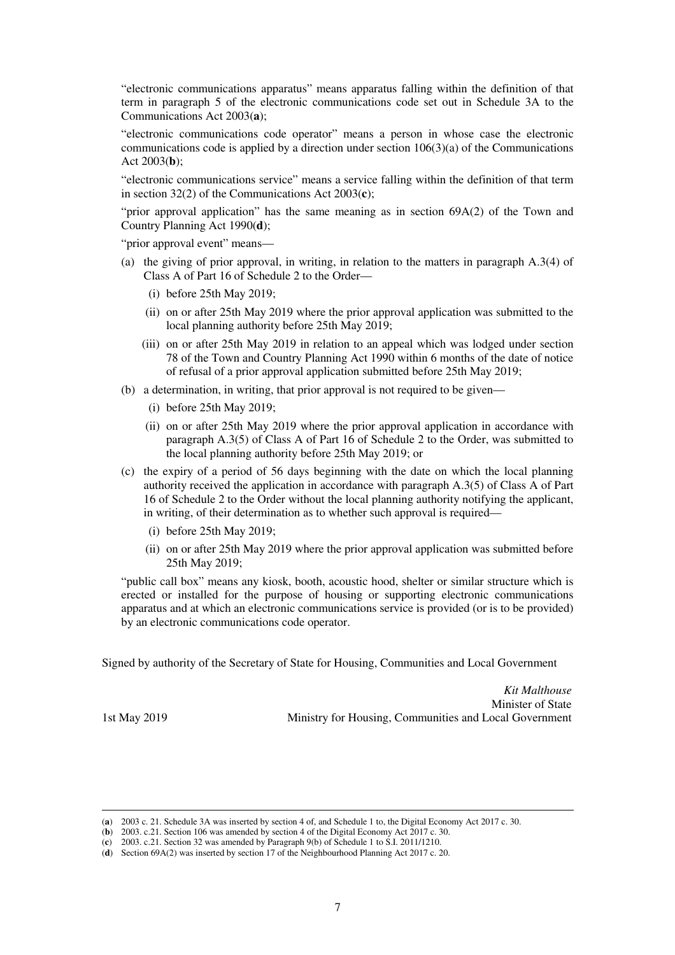"electronic communications apparatus" means apparatus falling within the definition of that term in paragraph 5 of the electronic communications code set out in Schedule 3A to the Communications Act 2003(**a**);

"electronic communications code operator" means a person in whose case the electronic communications code is applied by a direction under section 106(3)(a) of the Communications Act 2003(**b**);

"electronic communications service" means a service falling within the definition of that term in section 32(2) of the Communications Act 2003(**c**);

"prior approval application" has the same meaning as in section 69A(2) of the Town and Country Planning Act 1990(**d**);

"prior approval event" means—

- (a) the giving of prior approval, in writing, in relation to the matters in paragraph A.3(4) of Class A of Part 16 of Schedule 2 to the Order—
	- (i) before 25th May 2019;
	- (ii) on or after 25th May 2019 where the prior approval application was submitted to the local planning authority before 25th May 2019;
	- (iii) on or after 25th May 2019 in relation to an appeal which was lodged under section 78 of the Town and Country Planning Act 1990 within 6 months of the date of notice of refusal of a prior approval application submitted before 25th May 2019;
- (b) a determination, in writing, that prior approval is not required to be given—
	- (i) before 25th May 2019;
	- (ii) on or after 25th May 2019 where the prior approval application in accordance with paragraph A.3(5) of Class A of Part 16 of Schedule 2 to the Order, was submitted to the local planning authority before 25th May 2019; or
- (c) the expiry of a period of 56 days beginning with the date on which the local planning authority received the application in accordance with paragraph A.3(5) of Class A of Part 16 of Schedule 2 to the Order without the local planning authority notifying the applicant, in writing, of their determination as to whether such approval is required—
	- (i) before 25th May 2019;
	- (ii) on or after 25th May 2019 where the prior approval application was submitted before 25th May 2019;

"public call box" means any kiosk, booth, acoustic hood, shelter or similar structure which is erected or installed for the purpose of housing or supporting electronic communications apparatus and at which an electronic communications service is provided (or is to be provided) by an electronic communications code operator.

Signed by authority of the Secretary of State for Housing, Communities and Local Government

*Kit Malthouse*  Minister of State 1st May 2019 Ministry for Housing, Communities and Local Government

-

<sup>(</sup>**a**) 2003 c. 21. Schedule 3A was inserted by section 4 of, and Schedule 1 to, the Digital Economy Act 2017 c. 30.

<sup>(</sup>**b**) 2003. c.21. Section 106 was amended by section 4 of the Digital Economy Act 2017 c. 30.

<sup>(</sup>**c**) 2003. c.21. Section 32 was amended by Paragraph 9(b) of Schedule 1 to S.I. 2011/1210.

<sup>(</sup>**d**) Section 69A(2) was inserted by section 17 of the Neighbourhood Planning Act 2017 c. 20.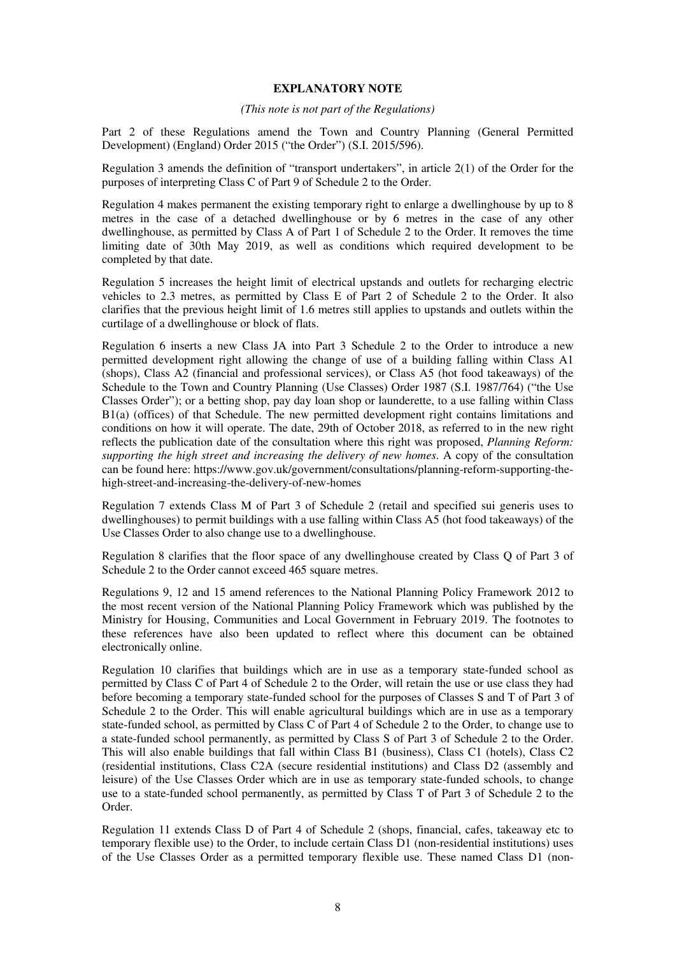#### **EXPLANATORY NOTE**

#### *(This note is not part of the Regulations)*

Part 2 of these Regulations amend the Town and Country Planning (General Permitted Development) (England) Order 2015 ("the Order") (S.I. 2015/596).

Regulation 3 amends the definition of "transport undertakers", in article 2(1) of the Order for the purposes of interpreting Class C of Part 9 of Schedule 2 to the Order.

Regulation 4 makes permanent the existing temporary right to enlarge a dwellinghouse by up to 8 metres in the case of a detached dwellinghouse or by 6 metres in the case of any other dwellinghouse, as permitted by Class A of Part 1 of Schedule 2 to the Order. It removes the time limiting date of 30th May 2019, as well as conditions which required development to be completed by that date.

Regulation 5 increases the height limit of electrical upstands and outlets for recharging electric vehicles to 2.3 metres, as permitted by Class E of Part 2 of Schedule 2 to the Order. It also clarifies that the previous height limit of 1.6 metres still applies to upstands and outlets within the curtilage of a dwellinghouse or block of flats.

Regulation 6 inserts a new Class JA into Part 3 Schedule 2 to the Order to introduce a new permitted development right allowing the change of use of a building falling within Class A1 (shops), Class A2 (financial and professional services), or Class A5 (hot food takeaways) of the Schedule to the Town and Country Planning (Use Classes) Order 1987 (S.I. 1987/764) ("the Use Classes Order"); or a betting shop, pay day loan shop or launderette, to a use falling within Class B1(a) (offices) of that Schedule. The new permitted development right contains limitations and conditions on how it will operate. The date, 29th of October 2018, as referred to in the new right reflects the publication date of the consultation where this right was proposed, *Planning Reform: supporting the high street and increasing the delivery of new homes*. A copy of the consultation can be found here: https://www.gov.uk/government/consultations/planning-reform-supporting-thehigh-street-and-increasing-the-delivery-of-new-homes

Regulation 7 extends Class M of Part 3 of Schedule 2 (retail and specified sui generis uses to dwellinghouses) to permit buildings with a use falling within Class A5 (hot food takeaways) of the Use Classes Order to also change use to a dwellinghouse.

Regulation 8 clarifies that the floor space of any dwellinghouse created by Class Q of Part 3 of Schedule 2 to the Order cannot exceed 465 square metres.

Regulations 9, 12 and 15 amend references to the National Planning Policy Framework 2012 to the most recent version of the National Planning Policy Framework which was published by the Ministry for Housing, Communities and Local Government in February 2019. The footnotes to these references have also been updated to reflect where this document can be obtained electronically online.

Regulation 10 clarifies that buildings which are in use as a temporary state-funded school as permitted by Class C of Part 4 of Schedule 2 to the Order, will retain the use or use class they had before becoming a temporary state-funded school for the purposes of Classes S and T of Part 3 of Schedule 2 to the Order. This will enable agricultural buildings which are in use as a temporary state-funded school, as permitted by Class C of Part 4 of Schedule 2 to the Order, to change use to a state-funded school permanently, as permitted by Class S of Part 3 of Schedule 2 to the Order. This will also enable buildings that fall within Class B1 (business), Class C1 (hotels), Class C2 (residential institutions, Class C2A (secure residential institutions) and Class D2 (assembly and leisure) of the Use Classes Order which are in use as temporary state-funded schools, to change use to a state-funded school permanently, as permitted by Class T of Part 3 of Schedule 2 to the Order.

Regulation 11 extends Class D of Part 4 of Schedule 2 (shops, financial, cafes, takeaway etc to temporary flexible use) to the Order, to include certain Class D1 (non-residential institutions) uses of the Use Classes Order as a permitted temporary flexible use. These named Class D1 (non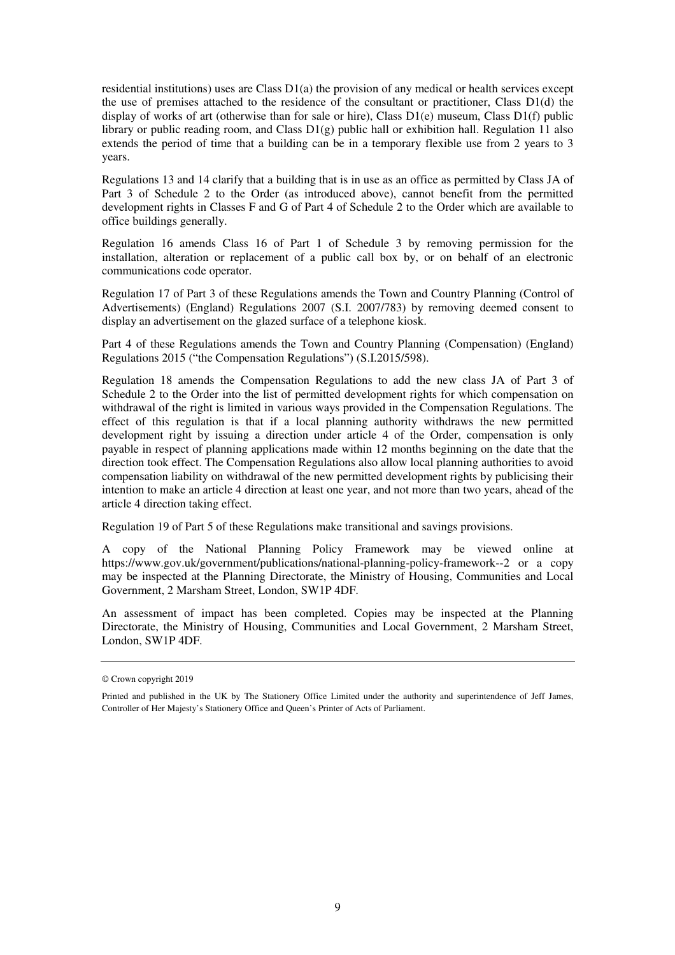residential institutions) uses are Class D1(a) the provision of any medical or health services except the use of premises attached to the residence of the consultant or practitioner, Class D1(d) the display of works of art (otherwise than for sale or hire), Class D1(e) museum, Class D1(f) public library or public reading room, and Class  $D1(g)$  public hall or exhibition hall. Regulation 11 also extends the period of time that a building can be in a temporary flexible use from 2 years to 3 years.

Regulations 13 and 14 clarify that a building that is in use as an office as permitted by Class JA of Part 3 of Schedule 2 to the Order (as introduced above), cannot benefit from the permitted development rights in Classes F and G of Part 4 of Schedule 2 to the Order which are available to office buildings generally.

Regulation 16 amends Class 16 of Part 1 of Schedule 3 by removing permission for the installation, alteration or replacement of a public call box by, or on behalf of an electronic communications code operator.

Regulation 17 of Part 3 of these Regulations amends the Town and Country Planning (Control of Advertisements) (England) Regulations 2007 (S.I. 2007/783) by removing deemed consent to display an advertisement on the glazed surface of a telephone kiosk.

Part 4 of these Regulations amends the Town and Country Planning (Compensation) (England) Regulations 2015 ("the Compensation Regulations") (S.I.2015/598).

Regulation 18 amends the Compensation Regulations to add the new class JA of Part 3 of Schedule 2 to the Order into the list of permitted development rights for which compensation on withdrawal of the right is limited in various ways provided in the Compensation Regulations. The effect of this regulation is that if a local planning authority withdraws the new permitted development right by issuing a direction under article 4 of the Order, compensation is only payable in respect of planning applications made within 12 months beginning on the date that the direction took effect. The Compensation Regulations also allow local planning authorities to avoid compensation liability on withdrawal of the new permitted development rights by publicising their intention to make an article 4 direction at least one year, and not more than two years, ahead of the article 4 direction taking effect.

Regulation 19 of Part 5 of these Regulations make transitional and savings provisions.

A copy of the National Planning Policy Framework may be viewed online at https://www.gov.uk/government/publications/national-planning-policy-framework--2 or a copy may be inspected at the Planning Directorate, the Ministry of Housing, Communities and Local Government, 2 Marsham Street, London, SW1P 4DF.

An assessment of impact has been completed. Copies may be inspected at the Planning Directorate, the Ministry of Housing, Communities and Local Government, 2 Marsham Street, London, SW1P 4DF.

<sup>©</sup> Crown copyright 2019

Printed and published in the UK by The Stationery Office Limited under the authority and superintendence of Jeff James, Controller of Her Majesty's Stationery Office and Queen's Printer of Acts of Parliament.